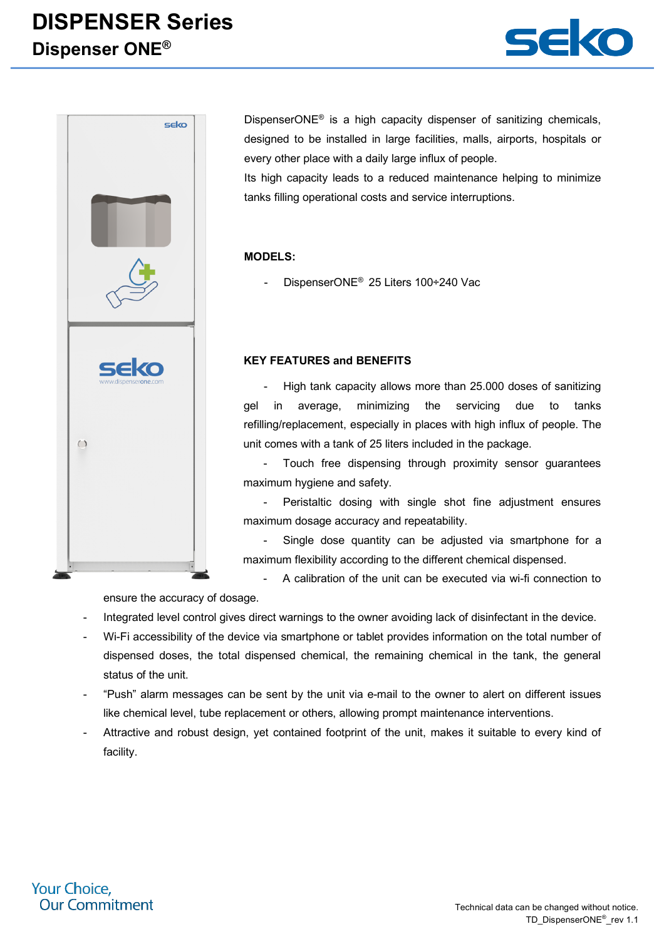## **DISPENSER Series Dispenser ONE®**





DispenserONE<sup>®</sup> is a high capacity dispenser of sanitizing chemicals, designed to be installed in large facilities, malls, airports, hospitals or every other place with a daily large influx of people.

Its high capacity leads to a reduced maintenance helping to minimize tanks filling operational costs and service interruptions.

### **MODELS:**

DispenserONE® 25 Liters 100÷240 Vac

#### **KEY FEATURES and BENEFITS**

High tank capacity allows more than 25,000 doses of sanitizing gel in average, minimizing the servicing due to tanks refilling/replacement, especially in places with high influx of people. The unit comes with a tank of 25 liters included in the package.

Touch free dispensing through proximity sensor quarantees maximum hygiene and safety.

Peristaltic dosing with single shot fine adjustment ensures maximum dosage accuracy and repeatability.

Single dose quantity can be adjusted via smartphone for a maximum flexibility according to the different chemical dispensed.

- A calibration of the unit can be executed via wi-fi connection to

ensure the accuracy of dosage.

- Integrated level control gives direct warnings to the owner avoiding lack of disinfectant in the device.
- Wi-Fi accessibility of the device via smartphone or tablet provides information on the total number of dispensed doses, the total dispensed chemical, the remaining chemical in the tank, the general status of the unit.
- "Push" alarm messages can be sent by the unit via e-mail to the owner to alert on different issues like chemical level, tube replacement or others, allowing prompt maintenance interventions.
- Attractive and robust design, yet contained footprint of the unit, makes it suitable to every kind of facility.